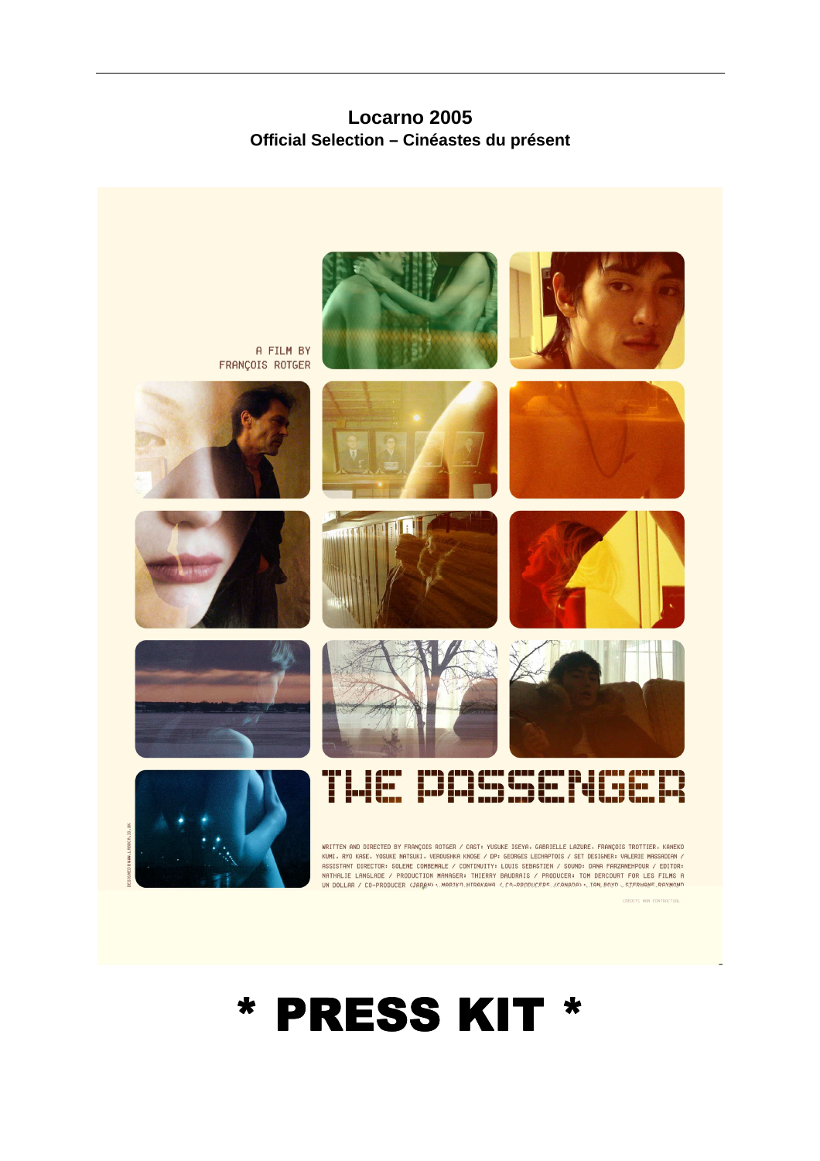**Locarno 2005 Official Selection – Cinéastes du présent** 



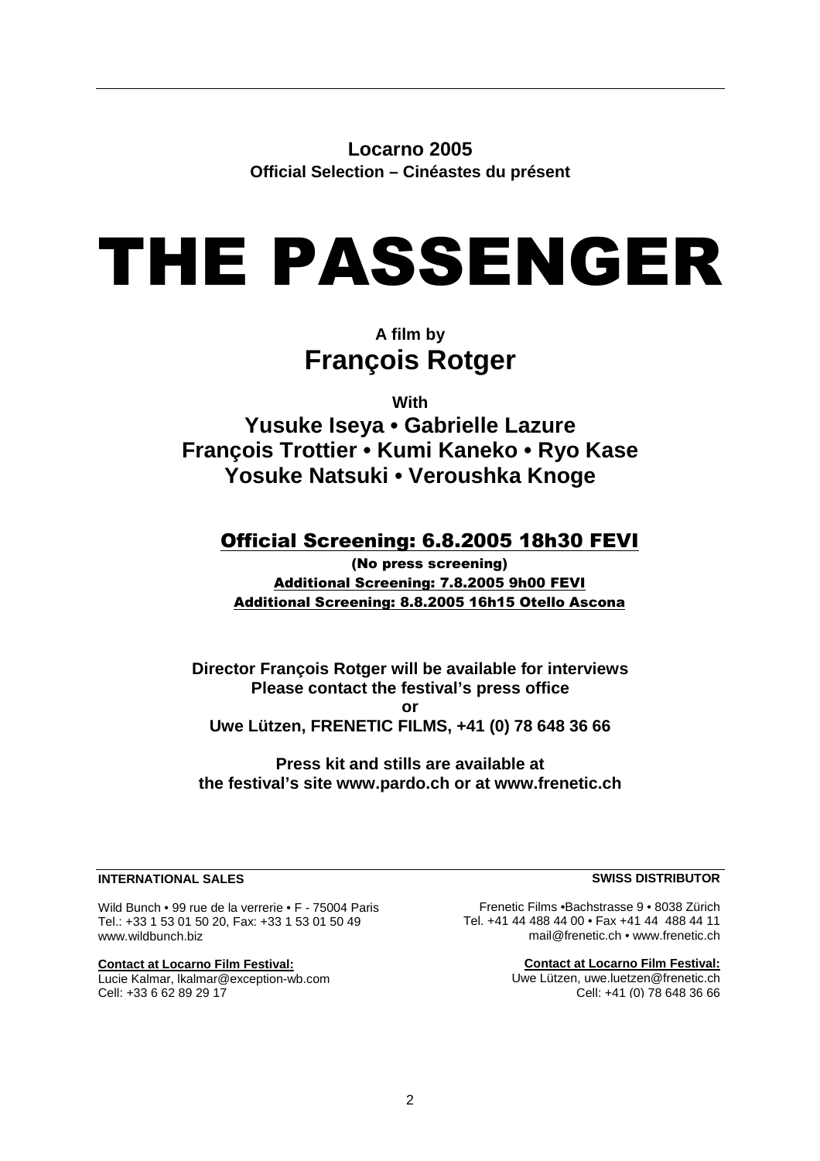**Locarno 2005 Official Selection – Cinéastes du présent** 

# THE PASSENGER

# **A film by François Rotger**

**With** 

**Yusuke Iseya • Gabrielle Lazure François Trottier • Kumi Kaneko • Ryo Kase Yosuke Natsuki • Veroushka Knoge** 

## Official Screening: 6.8.2005 18h30 FEVI

(No press screening) Additional Screening: 7.8.2005 9h00 FEVI Additional Screening: 8.8.2005 16h15 Otello Ascona

**Director François Rotger will be available for interviews Please contact the festival's press office or Uwe Lützen, FRENETIC FILMS, +41 (0) 78 648 36 66** 

**Press kit and stills are available at the festival's site www.pardo.ch or at www.frenetic.ch** 

#### **INTERNATIONAL SALES**

Wild Bunch • 99 rue de la verrerie • F - 75004 Paris Tel.: +33 1 53 01 50 20, Fax: +33 1 53 01 50 49 www.wildbunch.biz

**Contact at Locarno Film Festival:** Lucie Kalmar, lkalmar@exception-wb.com Cell: +33 6 62 89 29 17

**SWISS DISTRIBUTOR**

Frenetic Films •Bachstrasse 9 • 8038 Zürich Tel. +41 44 488 44 00 • Fax +41 44 488 44 11 mail@frenetic.ch • www.frenetic.ch

> **Contact at Locarno Film Festival:** Uwe Lützen, uwe.luetzen@frenetic.ch Cell: +41 (0) 78 648 36 66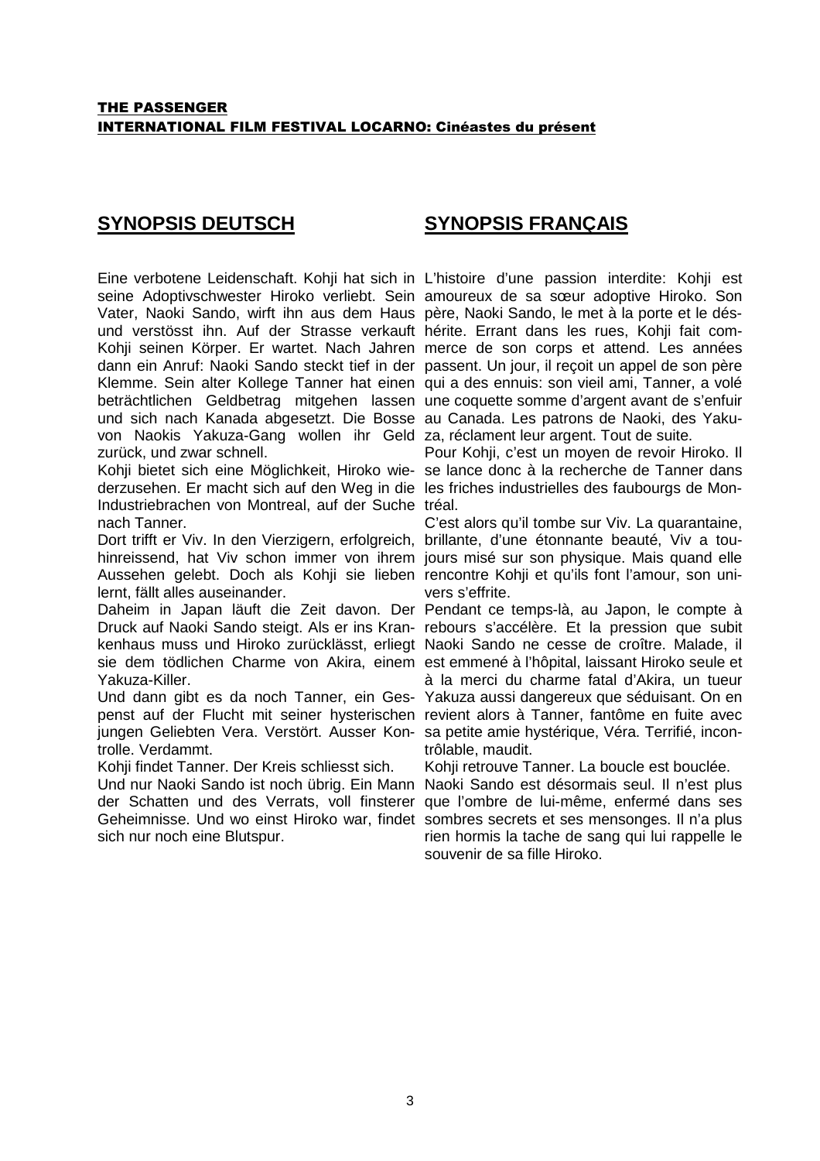## **SYNOPSIS DEUTSCH**

## **SYNOPSIS FRANÇAIS**

Eine verbotene Leidenschaft. Kohji hat sich in L'histoire d'une passion interdite: Kohji est seine Adoptivschwester Hiroko verliebt. Sein amoureux de sa sœur adoptive Hiroko. Son Vater, Naoki Sando, wirft ihn aus dem Haus père, Naoki Sando, le met à la porte et le désund verstösst ihn. Auf der Strasse verkauft hérite. Errant dans les rues, Kohji fait com-Kohji seinen Körper. Er wartet. Nach Jahren merce de son corps et attend. Les années dann ein Anruf: Naoki Sando steckt tief in der passent. Un jour, il reçoit un appel de son père Klemme. Sein alter Kollege Tanner hat einen qui a des ennuis: son vieil ami, Tanner, a volé beträchtlichen Geldbetrag mitgehen lassen une coquette somme d'argent avant de s'enfuir und sich nach Kanada abgesetzt. Die Bosse au Canada. Les patrons de Naoki, des Yakuvon Naokis Yakuza-Gang wollen ihr Geld za, réclament leur argent. Tout de suite. zurück, und zwar schnell.

Kohji bietet sich eine Möglichkeit, Hiroko wie-se lance donc à la recherche de Tanner dans derzusehen. Er macht sich auf den Weg in die les friches industrielles des faubourgs de Mon-Industriebrachen von Montreal, auf der Suche tréal. nach Tanner.

Dort trifft er Viv. In den Vierzigern, erfolgreich, brillante, d'une étonnante beauté, Viv a touhinreissend, hat Viv schon immer von ihrem jours misé sur son physique. Mais quand elle Aussehen gelebt. Doch als Kohji sie lieben rencontre Kohji et qu'ils font l'amour, son unilernt, fällt alles auseinander.

Daheim in Japan läuft die Zeit davon. Der Pendant ce temps-là, au Japon, le compte à Druck auf Naoki Sando steigt. Als er ins Kran-rebours s'accélère. Et la pression que subit kenhaus muss und Hiroko zurücklässt, erliegt Naoki Sando ne cesse de croître. Malade, il sie dem tödlichen Charme von Akira, einem est emmené à l'hôpital, laissant Hiroko seule et Yakuza-Killer.

Und dann gibt es da noch Tanner, ein Ges-Yakuza aussi dangereux que séduisant. On en penst auf der Flucht mit seiner hysterischen revient alors à Tanner, fantôme en fuite avec jungen Geliebten Vera. Verstört. Ausser Kon-sa petite amie hystérique, Véra. Terrifié, incontrolle. Verdammt.

Kohji findet Tanner. Der Kreis schliesst sich.

Und nur Naoki Sando ist noch übrig. Ein Mann Naoki Sando est désormais seul. Il n'est plus der Schatten und des Verrats, voll finsterer que l'ombre de lui-même, enfermé dans ses Geheimnisse. Und wo einst Hiroko war, findet sombres secrets et ses mensonges. Il n'a plus sich nur noch eine Blutspur.

Pour Kohji, c'est un moyen de revoir Hiroko. Il

C'est alors qu'il tombe sur Viv. La quarantaine, vers s'effrite.

à la merci du charme fatal d'Akira, un tueur trôlable, maudit.

Kohij retrouve Tanner. La boucle est bouclée.

rien hormis la tache de sang qui lui rappelle le souvenir de sa fille Hiroko.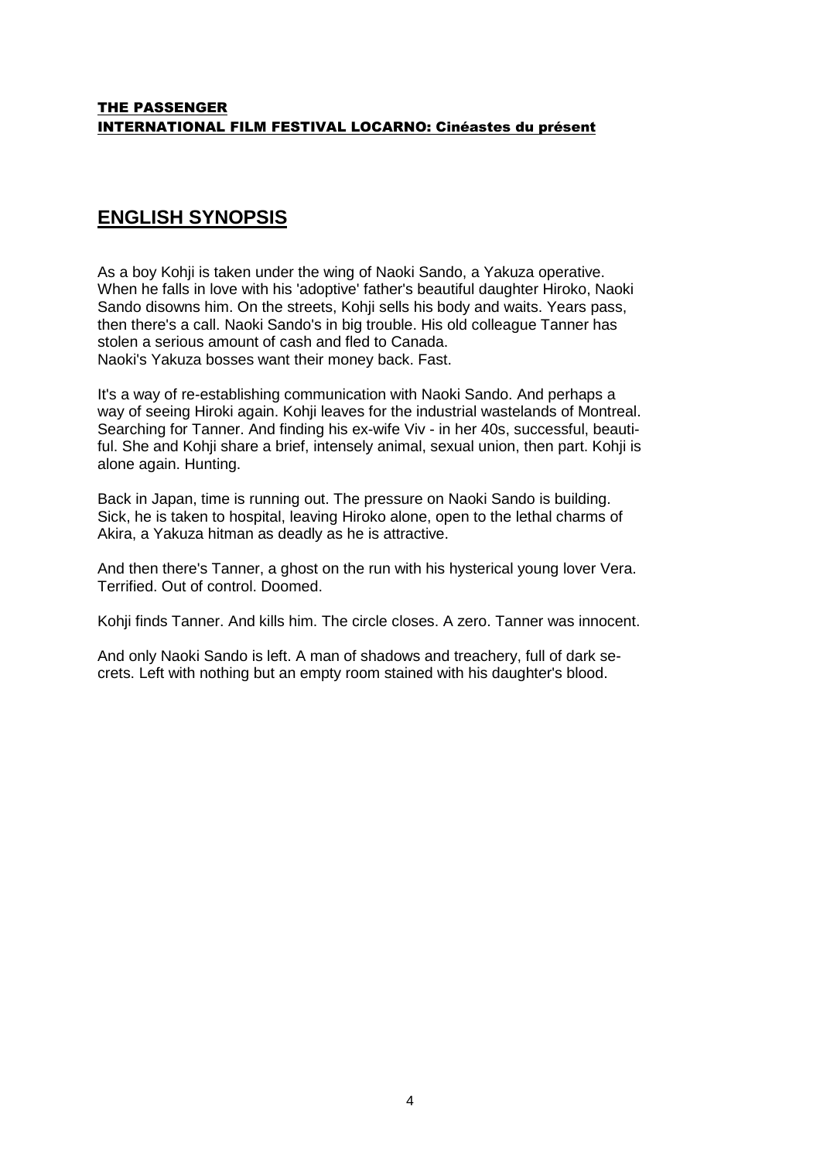#### THE PASSENGER INTERNATIONAL FILM FESTIVAL LOCARNO: Cinéastes du présent

## **ENGLISH SYNOPSIS**

As a boy Kohji is taken under the wing of Naoki Sando, a Yakuza operative. When he falls in love with his 'adoptive' father's beautiful daughter Hiroko, Naoki Sando disowns him. On the streets, Kohji sells his body and waits. Years pass, then there's a call. Naoki Sando's in big trouble. His old colleague Tanner has stolen a serious amount of cash and fled to Canada. Naoki's Yakuza bosses want their money back. Fast.

It's a way of re-establishing communication with Naoki Sando. And perhaps a way of seeing Hiroki again. Kohji leaves for the industrial wastelands of Montreal. Searching for Tanner. And finding his ex-wife Viv - in her 40s, successful, beautiful. She and Kohji share a brief, intensely animal, sexual union, then part. Kohji is alone again. Hunting.

Back in Japan, time is running out. The pressure on Naoki Sando is building. Sick, he is taken to hospital, leaving Hiroko alone, open to the lethal charms of Akira, a Yakuza hitman as deadly as he is attractive.

And then there's Tanner, a ghost on the run with his hysterical young lover Vera. Terrified. Out of control. Doomed.

Kohji finds Tanner. And kills him. The circle closes. A zero. Tanner was innocent.

And only Naoki Sando is left. A man of shadows and treachery, full of dark secrets. Left with nothing but an empty room stained with his daughter's blood.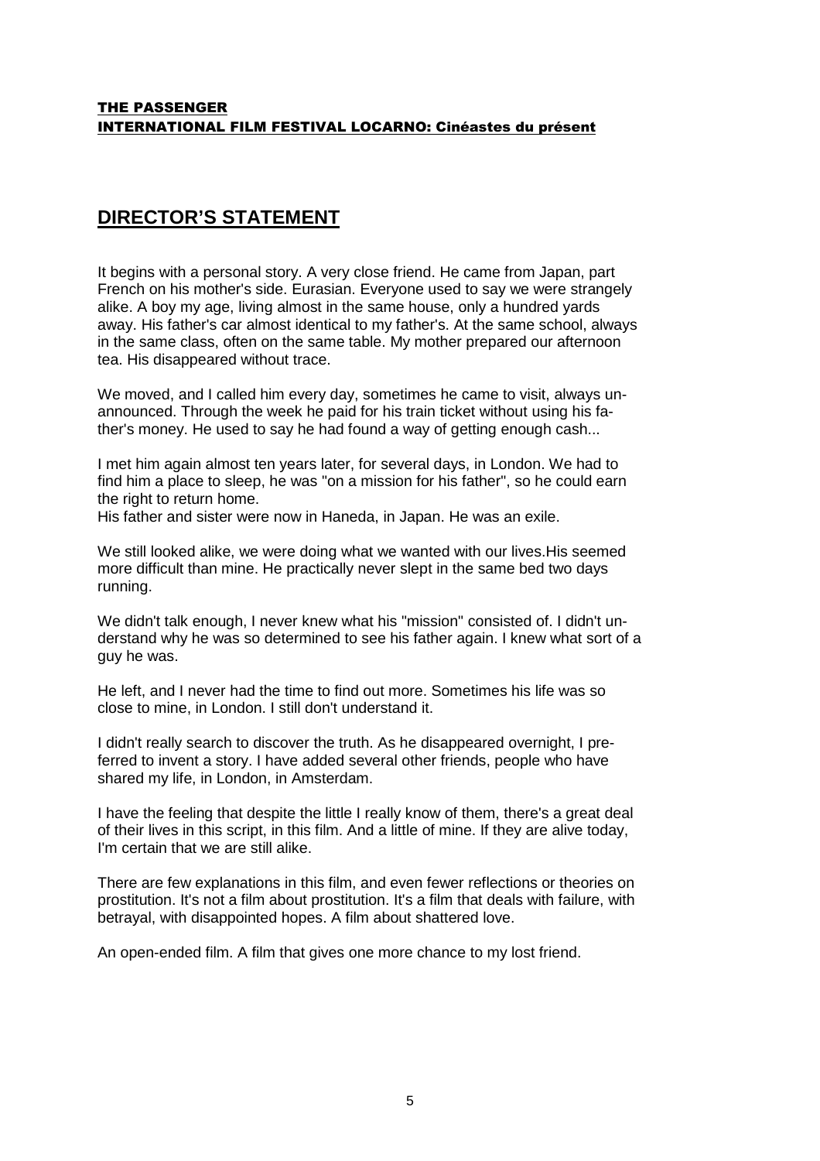## **DIRECTOR'S STATEMENT**

It begins with a personal story. A very close friend. He came from Japan, part French on his mother's side. Eurasian. Everyone used to say we were strangely alike. A boy my age, living almost in the same house, only a hundred yards away. His father's car almost identical to my father's. At the same school, always in the same class, often on the same table. My mother prepared our afternoon tea. His disappeared without trace.

We moved, and I called him every day, sometimes he came to visit, always unannounced. Through the week he paid for his train ticket without using his father's money. He used to say he had found a way of getting enough cash...

I met him again almost ten years later, for several days, in London. We had to find him a place to sleep, he was "on a mission for his father", so he could earn the right to return home.

His father and sister were now in Haneda, in Japan. He was an exile.

We still looked alike, we were doing what we wanted with our lives.His seemed more difficult than mine. He practically never slept in the same bed two days running.

We didn't talk enough, I never knew what his "mission" consisted of. I didn't understand why he was so determined to see his father again. I knew what sort of a guy he was.

He left, and I never had the time to find out more. Sometimes his life was so close to mine, in London. I still don't understand it.

I didn't really search to discover the truth. As he disappeared overnight, I preferred to invent a story. I have added several other friends, people who have shared my life, in London, in Amsterdam.

I have the feeling that despite the little I really know of them, there's a great deal of their lives in this script, in this film. And a little of mine. If they are alive today, I'm certain that we are still alike.

There are few explanations in this film, and even fewer reflections or theories on prostitution. It's not a film about prostitution. It's a film that deals with failure, with betrayal, with disappointed hopes. A film about shattered love.

An open-ended film. A film that gives one more chance to my lost friend.